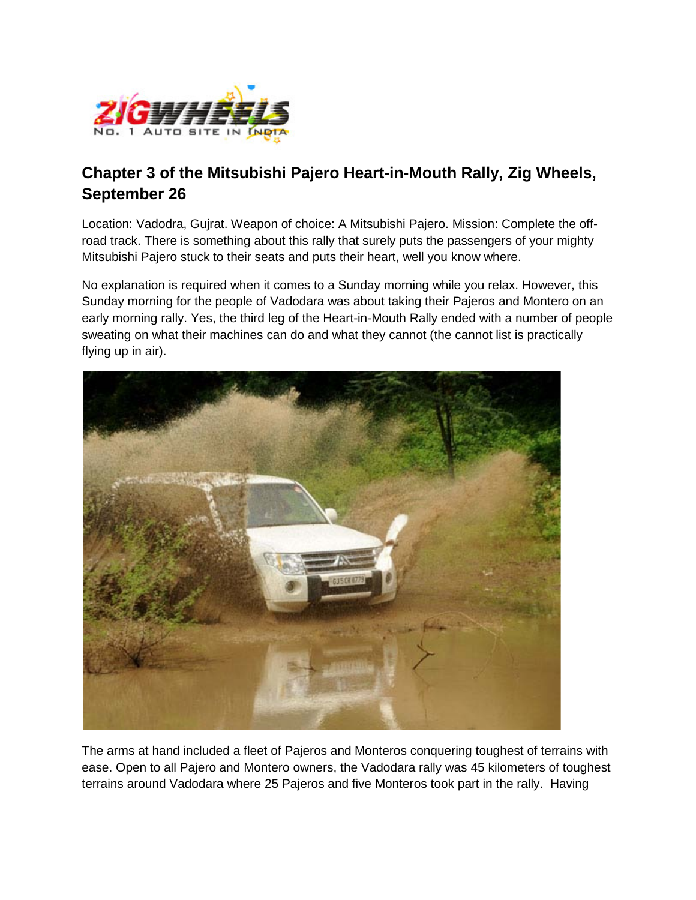

## **Chapter 3 of the Mitsubishi Pajero Heart-in-Mouth Rally, Zig Wheels, September 26**

Location: Vadodra, Gujrat. Weapon of choice: A Mitsubishi Pajero. Mission: Complete the offroad track. There is something about this rally that surely puts the passengers of your mighty Mitsubishi Pajero stuck to their seats and puts their heart, well you know where.

No explanation is required when it comes to a Sunday morning while you relax. However, this Sunday morning for the people of Vadodara was about taking their Pajeros and Montero on an early morning rally. Yes, the third leg of the Heart-in-Mouth Rally ended with a number of people sweating on what their machines can do and what they cannot (the cannot list is practically flying up in air).



The arms at hand included a fleet of Pajeros and Monteros conquering toughest of terrains with ease. Open to all Pajero and Montero owners, the Vadodara rally was 45 kilometers of toughest terrains around Vadodara where 25 Pajeros and five Monteros took part in the rally. Having